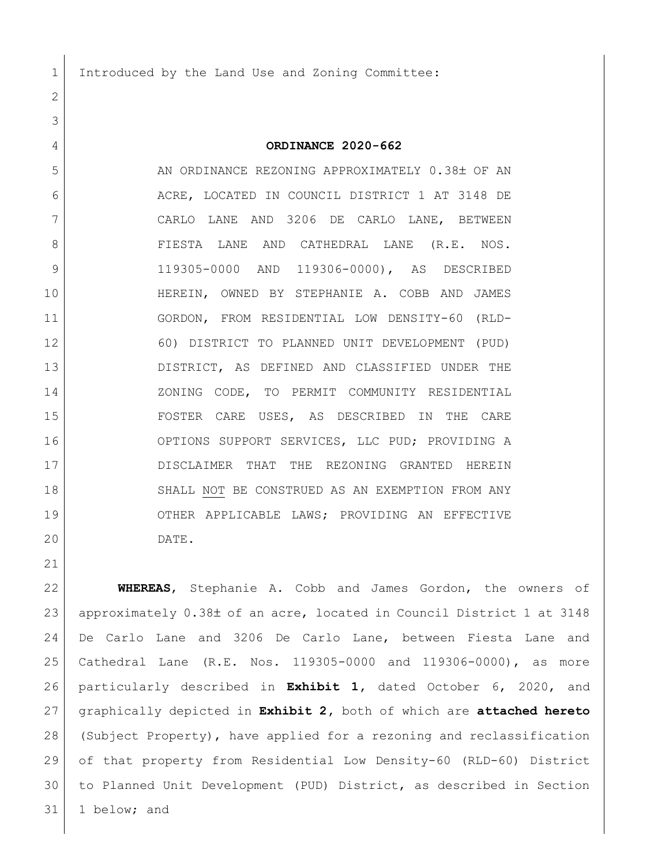Introduced by the Land Use and Zoning Committee:

## **ORDINANCE 2020-662**

5 AN ORDINANCE REZONING APPROXIMATELY 0.38± OF AN ACRE, LOCATED IN COUNCIL DISTRICT 1 AT 3148 DE CARLO LANE AND 3206 DE CARLO LANE, BETWEEN 8 | FIESTA LANE AND CATHEDRAL LANE (R.E. NOS. 119305-0000 AND 119306-0000), AS DESCRIBED HEREIN, OWNED BY STEPHANIE A. COBB AND JAMES GORDON, FROM RESIDENTIAL LOW DENSITY-60 (RLD- 60) DISTRICT TO PLANNED UNIT DEVELOPMENT (PUD) DISTRICT, AS DEFINED AND CLASSIFIED UNDER THE 14 ZONING CODE, TO PERMIT COMMUNITY RESIDENTIAL FOSTER CARE USES, AS DESCRIBED IN THE CARE OPTIONS SUPPORT SERVICES, LLC PUD; PROVIDING A DISCLAIMER THAT THE REZONING GRANTED HEREIN 18 SHALL NOT BE CONSTRUED AS AN EXEMPTION FROM ANY OTHER APPLICABLE LAWS; PROVIDING AN EFFECTIVE DATE.

 **WHEREAS**, Stephanie A. Cobb and James Gordon, the owners of 23 approximately 0.38± of an acre, located in Council District 1 at 3148 De Carlo Lane and 3206 De Carlo Lane, between Fiesta Lane and Cathedral Lane (R.E. Nos. 119305-0000 and 119306-0000), as more particularly described in **Exhibit 1,** dated October 6, 2020, and graphically depicted in **Exhibit 2,** both of which are **attached hereto** (Subject Property), have applied for a rezoning and reclassification of that property from Residential Low Density-60 (RLD-60) District to Planned Unit Development (PUD) District, as described in Section 31 1 below; and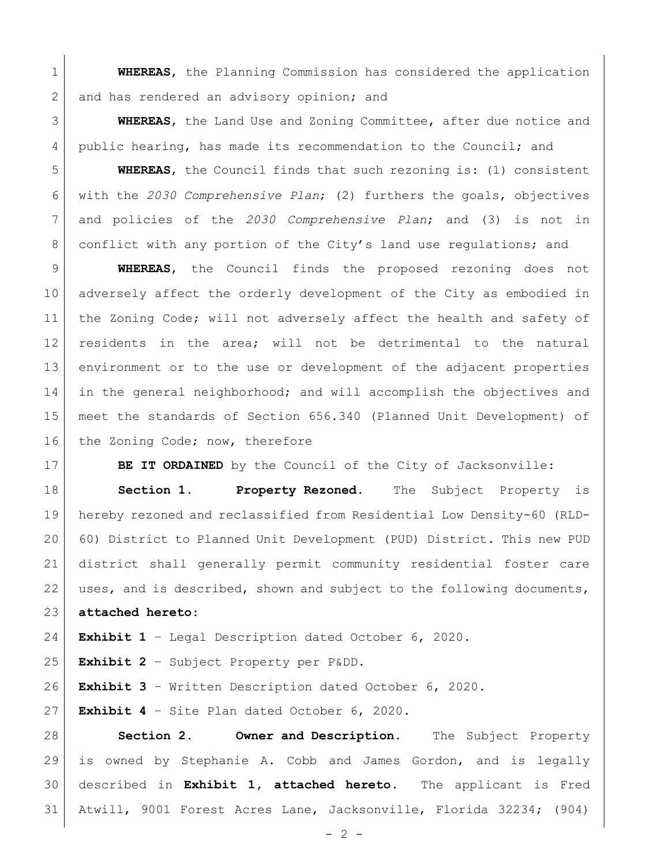**WHEREAS**, the Planning Commission has considered the application 2 and has rendered an advisory opinion; and

 **WHEREAS**, the Land Use and Zoning Committee, after due notice and public hearing, has made its recommendation to the Council; and

 **WHEREAS**, the Council finds that such rezoning is: (1) consistent with the *2030 Comprehensive Plan*; (2) furthers the goals, objectives and policies of the *2030 Comprehensive Plan*; and (3) is not in 8 conflict with any portion of the City's land use regulations; and

 **WHEREAS**, the Council finds the proposed rezoning does not adversely affect the orderly development of the City as embodied in 11 | the Zoning Code; will not adversely affect the health and safety of residents in the area; will not be detrimental to the natural environment or to the use or development of the adjacent properties in the general neighborhood; and will accomplish the objectives and meet the standards of Section 656.340 (Planned Unit Development) of 16 | the Zoning Code; now, therefore

**BE IT ORDAINED** by the Council of the City of Jacksonville:

 **Section 1. Property Rezoned.** The Subject Property is hereby rezoned and reclassified from Residential Low Density-60 (RLD- 60) District to Planned Unit Development (PUD) District. This new PUD district shall generally permit community residential foster care uses, and is described, shown and subject to the following documents, **attached hereto**:

**Exhibit 1** – Legal Description dated October 6, 2020.

**Exhibit 2** – Subject Property per P&DD.

**Exhibit 3** – Written Description dated October 6, 2020.

**Exhibit 4** – Site Plan dated October 6, 2020.

 **Section 2. Owner and Description.** The Subject Property is owned by Stephanie A. Cobb and James Gordon, and is legally described in **Exhibit 1, attached hereto**. The applicant is Fred Atwill, 9001 Forest Acres Lane, Jacksonville, Florida 32234; (904)

 $- 2 -$